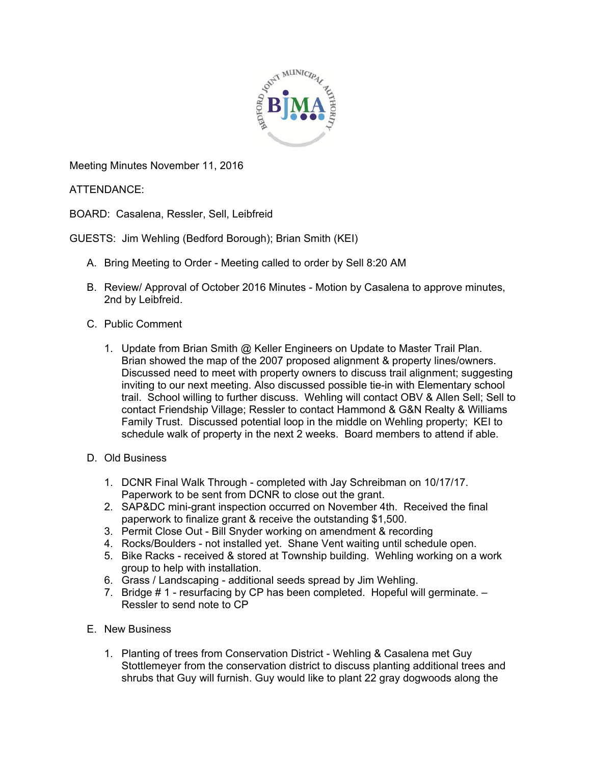

Meeting Minutes November 11, 2016

ATTENDANCE:

BOARD: Casalena, Ressler, Sell, Leibfreid

GUESTS: Jim Wehling (Bedford Borough); Brian Smith (KEI)

- A. Bring Meeting to Order Meeting called to order by Sell 8:20 AM
- B. Review/ Approval of October 2016 Minutes Motion by Casalena to approve minutes, 2nd by Leibfreid.
- C. Public Comment
	- 1. Update from Brian Smith @ Keller Engineers on Update to Master Trail Plan. Brian showed the map of the 2007 proposed alignment & property lines/owners. Discussed need to meet with property owners to discuss trail alignment; suggesting inviting to our next meeting. Also discussed possible tie-in with Elementary school trail. School willing to further discuss. Wehling will contact OBV & Allen Sell; Sell to contact Friendship Village; Ressler to contact Hammond & G&N Realty & Williams Family Trust. Discussed potential loop in the middle on Wehling property; KEI to schedule walk of property in the next 2 weeks. Board members to attend if able.
- D. Old Business
	- 1. DCNR Final Walk Through completed with Jay Schreibman on 10/17/17. Paperwork to be sent from DCNR to close out the grant.
	- 2. SAP&DC mini-grant inspection occurred on November 4th. Received the final paperwork to finalize grant & receive the outstanding \$1,500.
	- 3. Permit Close Out Bill Snyder working on amendment & recording
	- 4. Rocks/Boulders not installed yet. Shane Vent waiting until schedule open.
	- 5. Bike Racks received & stored at Township building. Wehling working on a work group to help with installation.
	- 6. Grass / Landscaping additional seeds spread by Jim Wehling.
	- 7. Bridge # 1 resurfacing by CP has been completed. Hopeful will germinate. Ressler to send note to CP
- E. New Business
	- 1. Planting of trees from Conservation District Wehling & Casalena met Guy Stottlemeyer from the conservation district to discuss planting additional trees and shrubs that Guy will furnish. Guy would like to plant 22 gray dogwoods along the